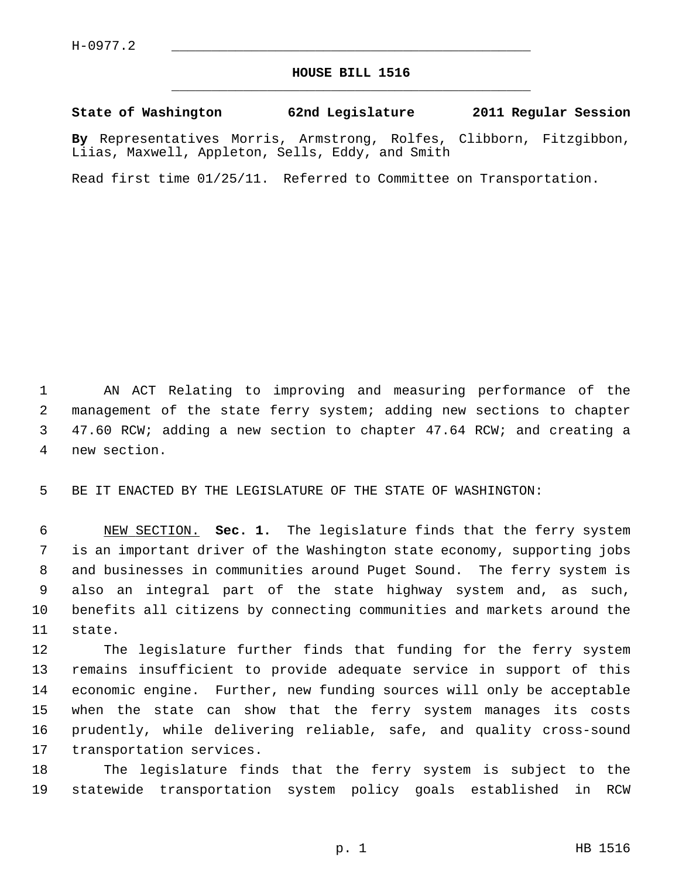## **HOUSE BILL 1516** \_\_\_\_\_\_\_\_\_\_\_\_\_\_\_\_\_\_\_\_\_\_\_\_\_\_\_\_\_\_\_\_\_\_\_\_\_\_\_\_\_\_\_\_\_

## **State of Washington 62nd Legislature 2011 Regular Session**

**By** Representatives Morris, Armstrong, Rolfes, Clibborn, Fitzgibbon, Liias, Maxwell, Appleton, Sells, Eddy, and Smith

Read first time 01/25/11. Referred to Committee on Transportation.

 1 AN ACT Relating to improving and measuring performance of the 2 management of the state ferry system; adding new sections to chapter 3 47.60 RCW; adding a new section to chapter 47.64 RCW; and creating a 4 new section.

5 BE IT ENACTED BY THE LEGISLATURE OF THE STATE OF WASHINGTON:

 6 NEW SECTION. **Sec. 1.** The legislature finds that the ferry system 7 is an important driver of the Washington state economy, supporting jobs 8 and businesses in communities around Puget Sound. The ferry system is 9 also an integral part of the state highway system and, as such, 10 benefits all citizens by connecting communities and markets around the 11 state.

12 The legislature further finds that funding for the ferry system 13 remains insufficient to provide adequate service in support of this 14 economic engine. Further, new funding sources will only be acceptable 15 when the state can show that the ferry system manages its costs 16 prudently, while delivering reliable, safe, and quality cross-sound 17 transportation services.

18 The legislature finds that the ferry system is subject to the 19 statewide transportation system policy goals established in RCW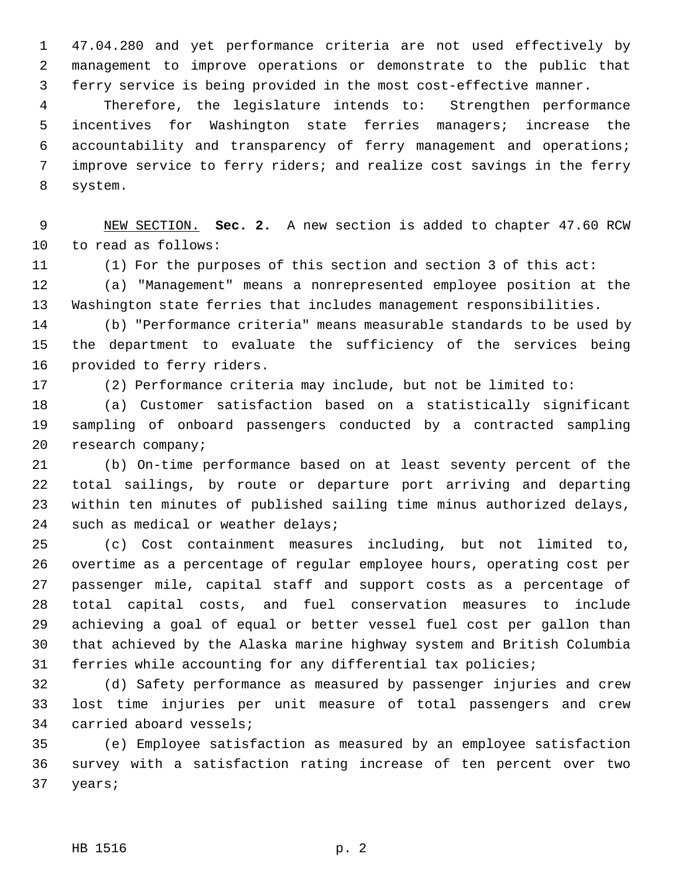1 47.04.280 and yet performance criteria are not used effectively by 2 management to improve operations or demonstrate to the public that 3 ferry service is being provided in the most cost-effective manner.

 4 Therefore, the legislature intends to: Strengthen performance 5 incentives for Washington state ferries managers; increase the 6 accountability and transparency of ferry management and operations; 7 improve service to ferry riders; and realize cost savings in the ferry 8 system.

 9 NEW SECTION. **Sec. 2.** A new section is added to chapter 47.60 RCW 10 to read as follows:

11 (1) For the purposes of this section and section 3 of this act:

12 (a) "Management" means a nonrepresented employee position at the 13 Washington state ferries that includes management responsibilities.

14 (b) "Performance criteria" means measurable standards to be used by 15 the department to evaluate the sufficiency of the services being 16 provided to ferry riders.

17 (2) Performance criteria may include, but not be limited to:

18 (a) Customer satisfaction based on a statistically significant 19 sampling of onboard passengers conducted by a contracted sampling 20 research company;

21 (b) On-time performance based on at least seventy percent of the 22 total sailings, by route or departure port arriving and departing 23 within ten minutes of published sailing time minus authorized delays, 24 such as medical or weather delays;

25 (c) Cost containment measures including, but not limited to, 26 overtime as a percentage of regular employee hours, operating cost per 27 passenger mile, capital staff and support costs as a percentage of 28 total capital costs, and fuel conservation measures to include 29 achieving a goal of equal or better vessel fuel cost per gallon than 30 that achieved by the Alaska marine highway system and British Columbia 31 ferries while accounting for any differential tax policies;

32 (d) Safety performance as measured by passenger injuries and crew 33 lost time injuries per unit measure of total passengers and crew 34 carried aboard vessels;

35 (e) Employee satisfaction as measured by an employee satisfaction 36 survey with a satisfaction rating increase of ten percent over two 37 years;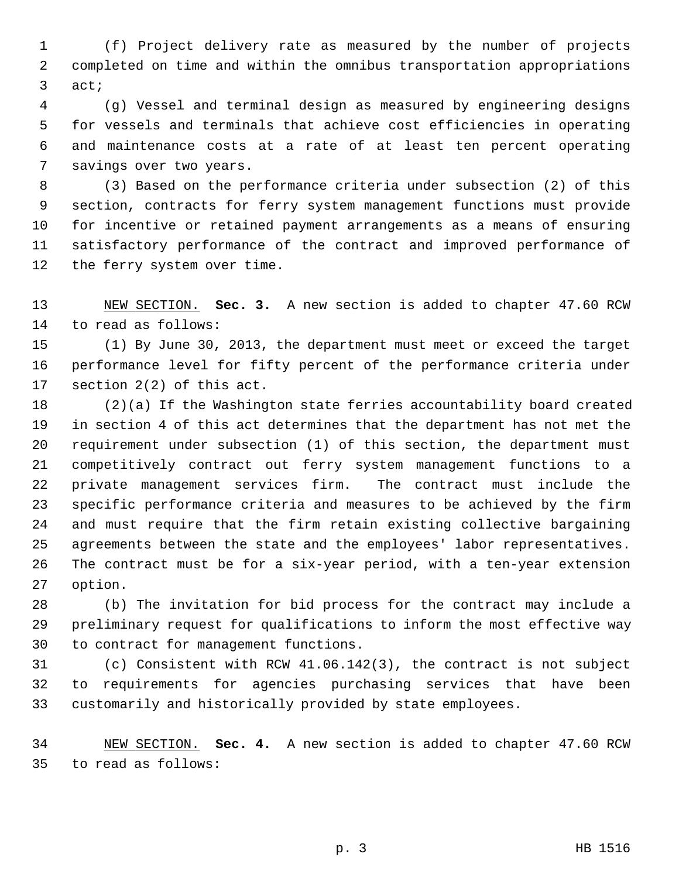1 (f) Project delivery rate as measured by the number of projects 2 completed on time and within the omnibus transportation appropriations 3 act;

 4 (g) Vessel and terminal design as measured by engineering designs 5 for vessels and terminals that achieve cost efficiencies in operating 6 and maintenance costs at a rate of at least ten percent operating 7 savings over two years.

 8 (3) Based on the performance criteria under subsection (2) of this 9 section, contracts for ferry system management functions must provide 10 for incentive or retained payment arrangements as a means of ensuring 11 satisfactory performance of the contract and improved performance of 12 the ferry system over time.

13 NEW SECTION. **Sec. 3.** A new section is added to chapter 47.60 RCW 14 to read as follows:

15 (1) By June 30, 2013, the department must meet or exceed the target 16 performance level for fifty percent of the performance criteria under 17 section 2(2) of this act.

18 (2)(a) If the Washington state ferries accountability board created 19 in section 4 of this act determines that the department has not met the 20 requirement under subsection (1) of this section, the department must 21 competitively contract out ferry system management functions to a 22 private management services firm. The contract must include the 23 specific performance criteria and measures to be achieved by the firm 24 and must require that the firm retain existing collective bargaining 25 agreements between the state and the employees' labor representatives. 26 The contract must be for a six-year period, with a ten-year extension 27 option.

28 (b) The invitation for bid process for the contract may include a 29 preliminary request for qualifications to inform the most effective way 30 to contract for management functions.

31 (c) Consistent with RCW 41.06.142(3), the contract is not subject 32 to requirements for agencies purchasing services that have been 33 customarily and historically provided by state employees.

34 NEW SECTION. **Sec. 4.** A new section is added to chapter 47.60 RCW 35 to read as follows: